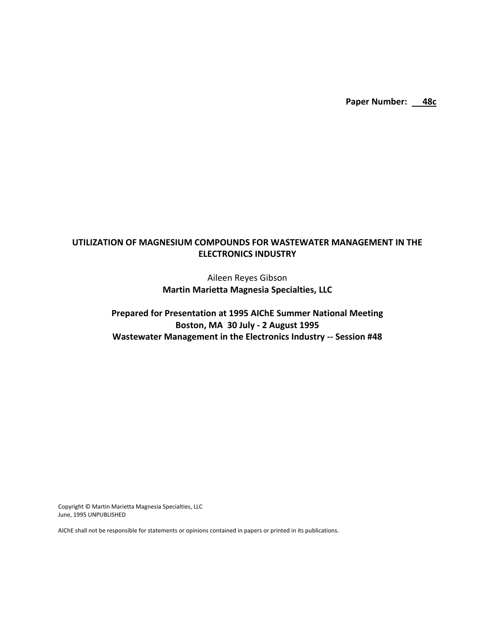Paper Number: 48c

# **UTILIZATION OF MAGNESIUM COMPOUNDS FOR WASTEWATER MANAGEMENT IN THE ELECTRONICS INDUSTRY**

Aileen Reyes Gibson **Martin Marietta Magnesia Specialties, LLC**

# **Prepared for Presentation at 1995 AIChE Summer National Meeting Boston, MA 30 July - 2 August 1995 Wastewater Management in the Electronics Industry -- Session #48**

Copyright © Martin Marietta Magnesia Specialties, LLC June, 1995 UNPUBLISHED

AIChE shall not be responsible for statements or opinions contained in papers or printed in its publications.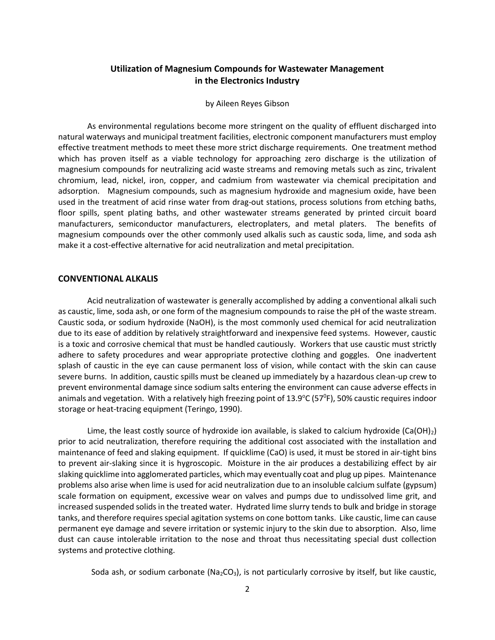## **Utilization of Magnesium Compounds for Wastewater Management in the Electronics Industry**

#### by Aileen Reyes Gibson

As environmental regulations become more stringent on the quality of effluent discharged into natural waterways and municipal treatment facilities, electronic component manufacturers must employ effective treatment methods to meet these more strict discharge requirements. One treatment method which has proven itself as a viable technology for approaching zero discharge is the utilization of magnesium compounds for neutralizing acid waste streams and removing metals such as zinc, trivalent chromium, lead, nickel, iron, copper, and cadmium from wastewater via chemical precipitation and adsorption. Magnesium compounds, such as magnesium hydroxide and magnesium oxide, have been used in the treatment of acid rinse water from drag-out stations, process solutions from etching baths, floor spills, spent plating baths, and other wastewater streams generated by printed circuit board manufacturers, semiconductor manufacturers, electroplaters, and metal platers. The benefits of magnesium compounds over the other commonly used alkalis such as caustic soda, lime, and soda ash make it a cost-effective alternative for acid neutralization and metal precipitation.

#### **CONVENTIONAL ALKALIS**

Acid neutralization of wastewater is generally accomplished by adding a conventional alkali such as caustic, lime, soda ash, or one form of the magnesium compounds to raise the pH of the waste stream. Caustic soda, or sodium hydroxide (NaOH), is the most commonly used chemical for acid neutralization due to its ease of addition by relatively straightforward and inexpensive feed systems. However, caustic is a toxic and corrosive chemical that must be handled cautiously. Workers that use caustic must strictly adhere to safety procedures and wear appropriate protective clothing and goggles. One inadvertent splash of caustic in the eye can cause permanent loss of vision, while contact with the skin can cause severe burns. In addition, caustic spills must be cleaned up immediately by a hazardous clean-up crew to prevent environmental damage since sodium salts entering the environment can cause adverse effects in animals and vegetation. With a relatively high freezing point of 13.9°C (57°F), 50% caustic requires indoor storage or heat-tracing equipment (Teringo, 1990).

Lime, the least costly source of hydroxide ion available, is slaked to calcium hydroxide (Ca(OH)<sub>2</sub>) prior to acid neutralization, therefore requiring the additional cost associated with the installation and maintenance of feed and slaking equipment. If quicklime (CaO) is used, it must be stored in air-tight bins to prevent air-slaking since it is hygroscopic. Moisture in the air produces a destabilizing effect by air slaking quicklime into agglomerated particles, which may eventually coat and plug up pipes. Maintenance problems also arise when lime is used for acid neutralization due to an insoluble calcium sulfate (gypsum) scale formation on equipment, excessive wear on valves and pumps due to undissolved lime grit, and increased suspended solids in the treated water. Hydrated lime slurry tends to bulk and bridge in storage tanks, and therefore requires special agitation systems on cone bottom tanks. Like caustic, lime can cause permanent eye damage and severe irritation or systemic injury to the skin due to absorption. Also, lime dust can cause intolerable irritation to the nose and throat thus necessitating special dust collection systems and protective clothing.

Soda ash, or sodium carbonate (Na<sub>2</sub>CO<sub>3</sub>), is not particularly corrosive by itself, but like caustic,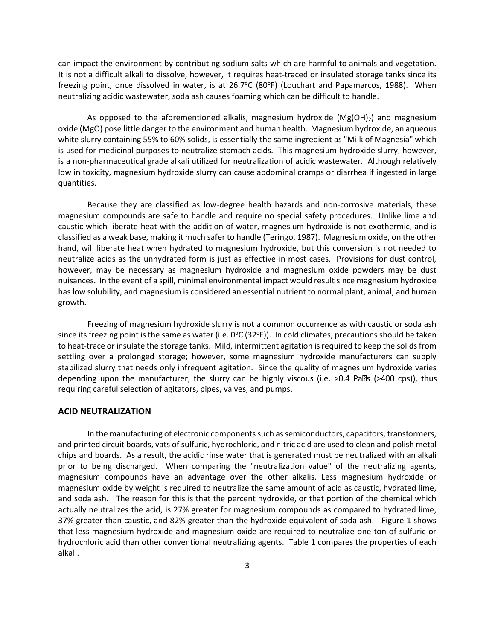can impact the environment by contributing sodium salts which are harmful to animals and vegetation. It is not a difficult alkali to dissolve, however, it requires heat-traced or insulated storage tanks since its freezing point, once dissolved in water, is at 26.7°C (80°F) (Louchart and Papamarcos, 1988). When neutralizing acidic wastewater, soda ash causes foaming which can be difficult to handle.

As opposed to the aforementioned alkalis, magnesium hydroxide  $(Mg(OH)_2)$  and magnesium oxide (MgO) pose little danger to the environment and human health. Magnesium hydroxide, an aqueous white slurry containing 55% to 60% solids, is essentially the same ingredient as "Milk of Magnesia" which is used for medicinal purposes to neutralize stomach acids. This magnesium hydroxide slurry, however, is a non-pharmaceutical grade alkali utilized for neutralization of acidic wastewater. Although relatively low in toxicity, magnesium hydroxide slurry can cause abdominal cramps or diarrhea if ingested in large quantities.

Because they are classified as low-degree health hazards and non-corrosive materials, these magnesium compounds are safe to handle and require no special safety procedures. Unlike lime and caustic which liberate heat with the addition of water, magnesium hydroxide is not exothermic, and is classified as a weak base, making it much safer to handle (Teringo, 1987). Magnesium oxide, on the other hand, will liberate heat when hydrated to magnesium hydroxide, but this conversion is not needed to neutralize acids as the unhydrated form is just as effective in most cases. Provisions for dust control, however, may be necessary as magnesium hydroxide and magnesium oxide powders may be dust nuisances. In the event of a spill, minimal environmental impact would result since magnesium hydroxide has low solubility, and magnesium is considered an essential nutrient to normal plant, animal, and human growth.

Freezing of magnesium hydroxide slurry is not a common occurrence as with caustic or soda ash since its freezing point is the same as water (i.e. 0°C (32°F)). In cold climates, precautions should be taken to heat-trace or insulate the storage tanks. Mild, intermittent agitation is required to keep the solids from settling over a prolonged storage; however, some magnesium hydroxide manufacturers can supply stabilized slurry that needs only infrequent agitation. Since the quality of magnesium hydroxide varies depending upon the manufacturer, the slurry can be highly viscous (i.e.  $>0.4$  Pa $\Omega$ s ( $>400$  cps)), thus requiring careful selection of agitators, pipes, valves, and pumps.

#### **ACID NEUTRALIZATION**

In the manufacturing of electronic components such as semiconductors, capacitors, transformers, and printed circuit boards, vats of sulfuric, hydrochloric, and nitric acid are used to clean and polish metal chips and boards. As a result, the acidic rinse water that is generated must be neutralized with an alkali prior to being discharged. When comparing the "neutralization value" of the neutralizing agents, magnesium compounds have an advantage over the other alkalis. Less magnesium hydroxide or magnesium oxide by weight is required to neutralize the same amount of acid as caustic, hydrated lime, and soda ash. The reason for this is that the percent hydroxide, or that portion of the chemical which actually neutralizes the acid, is 27% greater for magnesium compounds as compared to hydrated lime, 37% greater than caustic, and 82% greater than the hydroxide equivalent of soda ash. Figure 1 shows that less magnesium hydroxide and magnesium oxide are required to neutralize one ton of sulfuric or hydrochloric acid than other conventional neutralizing agents. Table 1 compares the properties of each alkali.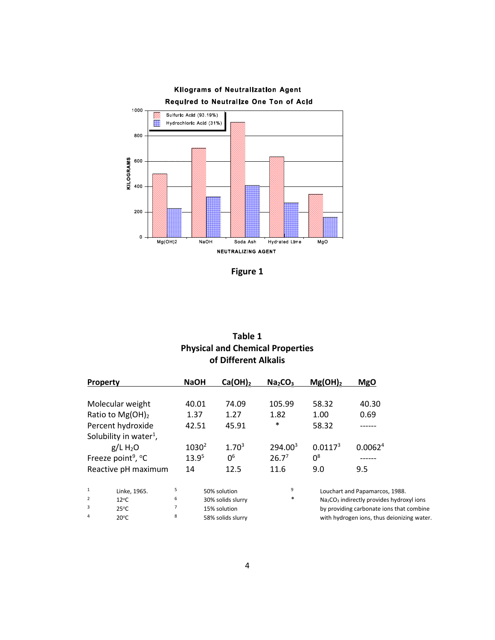

**Figure 1**

| Table 1                                 |  |  |  |  |  |
|-----------------------------------------|--|--|--|--|--|
| <b>Physical and Chemical Properties</b> |  |  |  |  |  |
| of Different Alkalis                    |  |  |  |  |  |

|                   | <b>Property</b>                    |                | <b>NaOH</b> | Ca(OH) <sub>2</sub> | Na <sub>2</sub> CO <sub>3</sub> | $Mg(OH)_2$          | <b>MgO</b>                                                        |
|-------------------|------------------------------------|----------------|-------------|---------------------|---------------------------------|---------------------|-------------------------------------------------------------------|
|                   | Molecular weight                   |                | 40.01       | 74.09               | 105.99                          | 58.32               | 40.30                                                             |
|                   | Ratio to $Mg(OH)_2$                |                | 1.37        | 1.27                | 1.82                            | 1.00                | 0.69                                                              |
| Percent hydroxide |                                    |                | 42.51       | 45.91               | $\ast$                          | 58.32               |                                                                   |
|                   | Solubility in water <sup>1</sup> , |                |             |                     |                                 |                     |                                                                   |
|                   | $g/L$ H <sub>2</sub> O             |                | $1030^2$    | $1.70^{3}$          | 294.00 <sup>3</sup>             | 0.0117 <sup>3</sup> | 0.0062 <sup>4</sup>                                               |
|                   | Freeze point <sup>9</sup> , °C     |                | $13.9^{5}$  | 0 <sup>6</sup>      | $26.7^{7}$                      | $0^8$               |                                                                   |
|                   | Reactive pH maximum                |                | 14          | 12.5                | 11.6                            | 9.0                 | 9.5                                                               |
| $\mathbf{1}$      | Linke, 1965.                       | 5              |             | 50% solution        | 9                               |                     | Louchart and Papamarcos, 1988.                                    |
| $\overline{2}$    | $12^{\circ}$ C                     | 6              |             | 30% solids slurry   | $\ast$                          |                     | Na <sub>2</sub> CO <sub>3</sub> indirectly provides hydroxyl ions |
| 3                 | $25^{\circ}$ C                     | $\overline{7}$ |             | 15% solution        |                                 |                     | by providing carbonate ions that combined                         |
| 4                 | $20^{\circ}$ C                     | 8              |             | 58% solids slurry   |                                 |                     | with hydrogen jons, thus dejonizing wat                           |

 $20^{\circ}$ C

7 15% solution by providing carbonate ions that combine<br>8 58% solids slurry by providing carbonate ions thus deionizing water. <sup>8</sup> 58% solids slurry with hydrogen ions, thus deionizing water.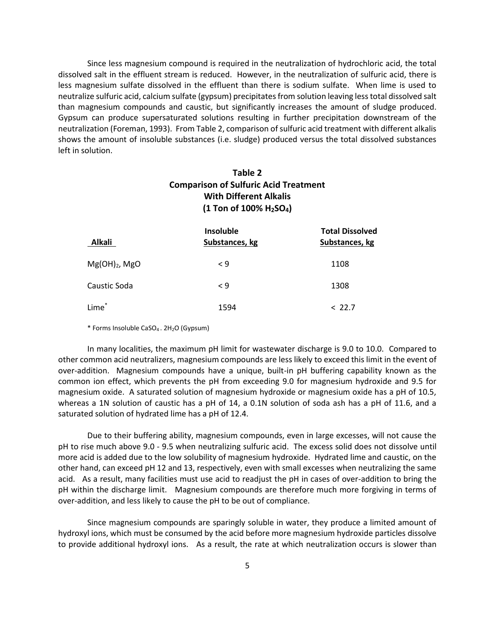Since less magnesium compound is required in the neutralization of hydrochloric acid, the total dissolved salt in the effluent stream is reduced. However, in the neutralization of sulfuric acid, there is less magnesium sulfate dissolved in the effluent than there is sodium sulfate. When lime is used to neutralize sulfuric acid, calcium sulfate (gypsum) precipitates from solution leaving less total dissolved salt than magnesium compounds and caustic, but significantly increases the amount of sludge produced. Gypsum can produce supersaturated solutions resulting in further precipitation downstream of the neutralization (Foreman, 1993). From Table 2, comparison of sulfuric acid treatment with different alkalis shows the amount of insoluble substances (i.e. sludge) produced versus the total dissolved substances left in solution.

# **Table 2 Comparison of Sulfuric Acid Treatment With Different Alkalis (1 Ton of 100% H2SO4)**

| <b>Alkali</b>     | <b>Insoluble</b><br>Substances, kg | <b>Total Dissolved</b><br>Substances, kg |
|-------------------|------------------------------------|------------------------------------------|
| $Mg(OH)_2$ , MgO  | $\leq 9$                           | 1108                                     |
| Caustic Soda      | $\leq 9$                           | 1308                                     |
| Lime <sup>*</sup> | 1594                               | < 22.7                                   |

\* Forms Insoluble CaSO4 . 2H2O (Gypsum)

 In many localities, the maximum pH limit for wastewater discharge is 9.0 to 10.0. Compared to other common acid neutralizers, magnesium compounds are less likely to exceed this limit in the event of over-addition. Magnesium compounds have a unique, built-in pH buffering capability known as the common ion effect, which prevents the pH from exceeding 9.0 for magnesium hydroxide and 9.5 for magnesium oxide. A saturated solution of magnesium hydroxide or magnesium oxide has a pH of 10.5, whereas a 1N solution of caustic has a pH of 14, a 0.1N solution of soda ash has a pH of 11.6, and a saturated solution of hydrated lime has a pH of 12.4.

Due to their buffering ability, magnesium compounds, even in large excesses, will not cause the pH to rise much above 9.0 - 9.5 when neutralizing sulfuric acid. The excess solid does not dissolve until more acid is added due to the low solubility of magnesium hydroxide. Hydrated lime and caustic, on the other hand, can exceed pH 12 and 13, respectively, even with small excesses when neutralizing the same acid. As a result, many facilities must use acid to readjust the pH in cases of over-addition to bring the pH within the discharge limit. Magnesium compounds are therefore much more forgiving in terms of over-addition, and less likely to cause the pH to be out of compliance.

Since magnesium compounds are sparingly soluble in water, they produce a limited amount of hydroxyl ions, which must be consumed by the acid before more magnesium hydroxide particles dissolve to provide additional hydroxyl ions. As a result, the rate at which neutralization occurs is slower than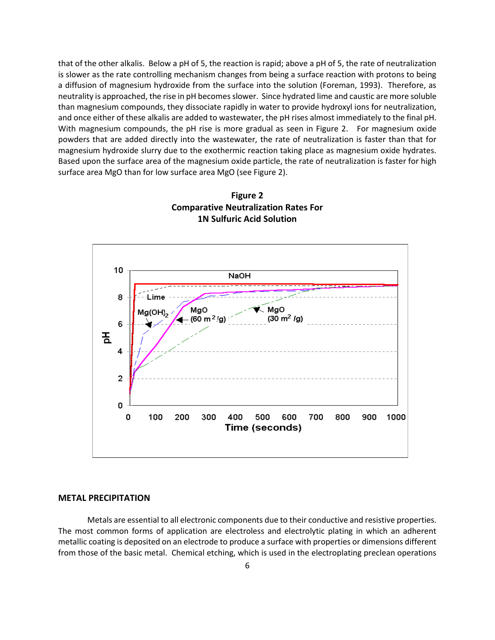that of the other alkalis. Below a pH of 5, the reaction is rapid; above a pH of 5, the rate of neutralization is slower as the rate controlling mechanism changes from being a surface reaction with protons to being a diffusion of magnesium hydroxide from the surface into the solution (Foreman, 1993). Therefore, as neutrality is approached, the rise in pH becomes slower. Since hydrated lime and caustic are more soluble than magnesium compounds, they dissociate rapidly in water to provide hydroxyl ions for neutralization, and once either of these alkalis are added to wastewater, the pH rises almost immediately to the final pH. With magnesium compounds, the pH rise is more gradual as seen in Figure 2. For magnesium oxide powders that are added directly into the wastewater, the rate of neutralization is faster than that for magnesium hydroxide slurry due to the exothermic reaction taking place as magnesium oxide hydrates. Based upon the surface area of the magnesium oxide particle, the rate of neutralization is faster for high surface area MgO than for low surface area MgO (see Figure 2).





### **METAL PRECIPITATION**

Metals are essential to all electronic components due to their conductive and resistive properties. The most common forms of application are electroless and electrolytic plating in which an adherent metallic coating is deposited on an electrode to produce a surface with properties or dimensions different from those of the basic metal. Chemical etching, which is used in the electroplating preclean operations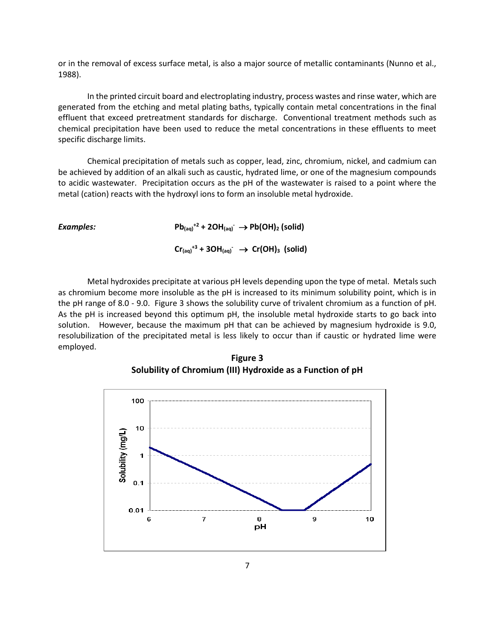or in the removal of excess surface metal, is also a major source of metallic contaminants (Nunno et al., 1988).

In the printed circuit board and electroplating industry, process wastes and rinse water, which are generated from the etching and metal plating baths, typically contain metal concentrations in the final effluent that exceed pretreatment standards for discharge. Conventional treatment methods such as chemical precipitation have been used to reduce the metal concentrations in these effluents to meet specific discharge limits.

Chemical precipitation of metals such as copper, lead, zinc, chromium, nickel, and cadmium can be achieved by addition of an alkali such as caustic, hydrated lime, or one of the magnesium compounds to acidic wastewater. Precipitation occurs as the pH of the wastewater is raised to a point where the metal (cation) reacts with the hydroxyl ions to form an insoluble metal hydroxide.

| Examples: | $Pb_{(aq)}^2$ + 2OH $_{(aq)}^2$ $\rightarrow$ Pb(OH) <sub>2</sub> (solid)            |  |  |  |
|-----------|--------------------------------------------------------------------------------------|--|--|--|
|           | $Cr_{(aq)}^{+3}$ + 3OH $_{(aq)}^{\bullet}$ $\rightarrow$ Cr(OH) <sub>3</sub> (solid) |  |  |  |

Metal hydroxides precipitate at various pH levels depending upon the type of metal. Metals such as chromium become more insoluble as the pH is increased to its minimum solubility point, which is in the pH range of 8.0 - 9.0. Figure 3 shows the solubility curve of trivalent chromium as a function of pH. As the pH is increased beyond this optimum pH, the insoluble metal hydroxide starts to go back into solution. However, because the maximum pH that can be achieved by magnesium hydroxide is 9.0, resolubilization of the precipitated metal is less likely to occur than if caustic or hydrated lime were employed.



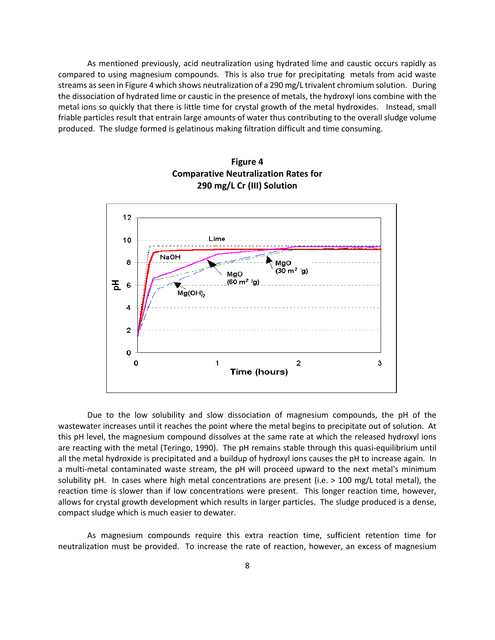As mentioned previously, acid neutralization using hydrated lime and caustic occurs rapidly as compared to using magnesium compounds. This is also true for precipitating metals from acid waste streams as seen in Figure 4 which shows neutralization of a 290 mg/L trivalent chromium solution. During the dissociation of hydrated lime or caustic in the presence of metals, the hydroxyl ions combine with the metal ions so quickly that there is little time for crystal growth of the metal hydroxides. Instead, small friable particles result that entrain large amounts of water thus contributing to the overall sludge volume produced. The sludge formed is gelatinous making filtration difficult and time consuming.





Due to the low solubility and slow dissociation of magnesium compounds, the pH of the wastewater increases until it reaches the point where the metal begins to precipitate out of solution. At this pH level, the magnesium compound dissolves at the same rate at which the released hydroxyl ions are reacting with the metal (Teringo, 1990). The pH remains stable through this quasi-equilibrium until all the metal hydroxide is precipitated and a buildup of hydroxyl ions causes the pH to increase again. In a multi-metal contaminated waste stream, the pH will proceed upward to the next metal's minimum solubility pH. In cases where high metal concentrations are present (i.e. > 100 mg/L total metal), the reaction time is slower than if low concentrations were present. This longer reaction time, however, allows for crystal growth development which results in larger particles. The sludge produced is a dense, compact sludge which is much easier to dewater.

As magnesium compounds require this extra reaction time, sufficient retention time for neutralization must be provided. To increase the rate of reaction, however, an excess of magnesium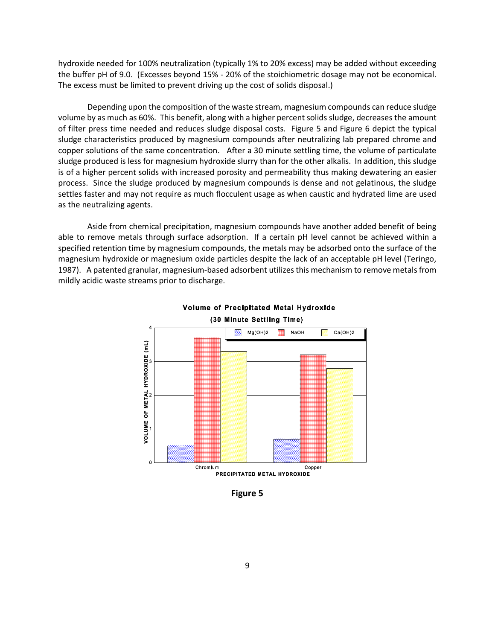hydroxide needed for 100% neutralization (typically 1% to 20% excess) may be added without exceeding the buffer pH of 9.0. (Excesses beyond 15% - 20% of the stoichiometric dosage may not be economical. The excess must be limited to prevent driving up the cost of solids disposal.)

Depending upon the composition of the waste stream, magnesium compounds can reduce sludge volume by as much as 60%. This benefit, along with a higher percent solids sludge, decreases the amount of filter press time needed and reduces sludge disposal costs. Figure 5 and Figure 6 depict the typical sludge characteristics produced by magnesium compounds after neutralizing lab prepared chrome and copper solutions of the same concentration. After a 30 minute settling time, the volume of particulate sludge produced is less for magnesium hydroxide slurry than for the other alkalis. In addition, this sludge is of a higher percent solids with increased porosity and permeability thus making dewatering an easier process. Since the sludge produced by magnesium compounds is dense and not gelatinous, the sludge settles faster and may not require as much flocculent usage as when caustic and hydrated lime are used as the neutralizing agents.

Aside from chemical precipitation, magnesium compounds have another added benefit of being able to remove metals through surface adsorption. If a certain pH level cannot be achieved within a specified retention time by magnesium compounds, the metals may be adsorbed onto the surface of the magnesium hydroxide or magnesium oxide particles despite the lack of an acceptable pH level (Teringo, 1987). A patented granular, magnesium-based adsorbent utilizes this mechanism to remove metals from mildly acidic waste streams prior to discharge.





**Figure 5**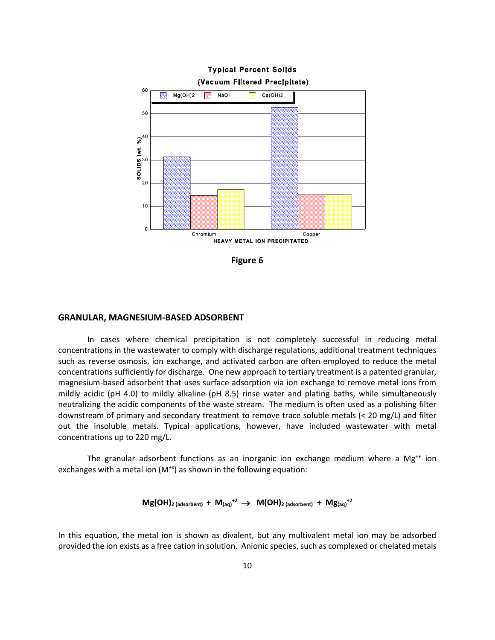

**Figure 6**

#### **GRANULAR, MAGNESIUM-BASED ADSORBENT**

In cases where chemical precipitation is not completely successful in reducing metal concentrations in the wastewater to comply with discharge regulations, additional treatment techniques such as reverse osmosis, ion exchange, and activated carbon are often employed to reduce the metal concentrations sufficiently for discharge. One new approach to tertiary treatment is a patented granular, magnesium-based adsorbent that uses surface adsorption via ion exchange to remove metal ions from mildly acidic (pH 4.0) to mildly alkaline (pH 8.5) rinse water and plating baths, while simultaneously neutralizing the acidic components of the waste stream. The medium is often used as a polishing filter downstream of primary and secondary treatment to remove trace soluble metals (< 20 mg/L) and filter out the insoluble metals. Typical applications, however, have included wastewater with metal concentrations up to 220 mg/L.

The granular adsorbent functions as an inorganic ion exchange medium where a  $Mg^{++}$  ion exchanges with a metal ion  $(M^{*x})$  as shown in the following equation:

### $Mg(OH)$ <sub>2 (adsorbent)</sub> +  $M_{(aq)}^{+2}$   $\rightarrow$   $M(OH)$ <sub>2 (adsorbent)</sub> +  $Mg_{(aq)}^{+2}$

In this equation, the metal ion is shown as divalent, but any multivalent metal ion may be adsorbed provided the ion exists as a free cation in solution. Anionic species, such as complexed or chelated metals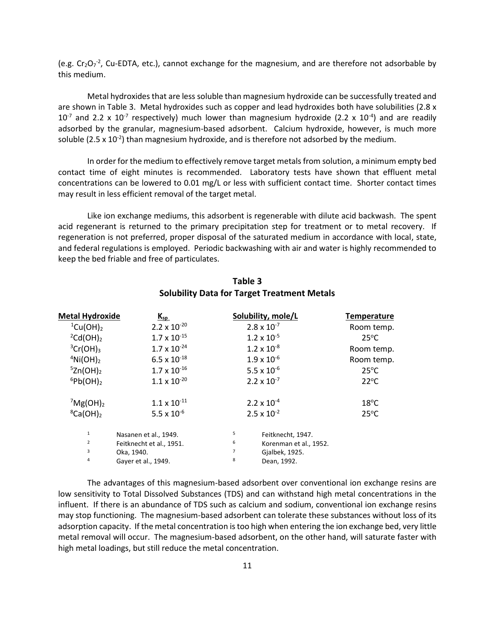(e.g.  $Cr_2O_7^2$ , Cu-EDTA, etc.), cannot exchange for the magnesium, and are therefore not adsorbable by this medium.

Metal hydroxides that are less soluble than magnesium hydroxide can be successfully treated and are shown in Table 3. Metal hydroxides such as copper and lead hydroxides both have solubilities (2.8 x 10<sup>-7</sup> and 2.2 x 10<sup>-7</sup> respectively) much lower than magnesium hydroxide (2.2 x 10<sup>-4</sup>) and are readily adsorbed by the granular, magnesium-based adsorbent. Calcium hydroxide, however, is much more soluble (2.5 x 10<sup>-2</sup>) than magnesium hydroxide, and is therefore not adsorbed by the medium.

In order for the medium to effectively remove target metals from solution, a minimum empty bed contact time of eight minutes is recommended. Laboratory tests have shown that effluent metal concentrations can be lowered to 0.01 mg/L or less with sufficient contact time. Shorter contact times may result in less efficient removal of the target metal.

Like ion exchange mediums, this adsorbent is regenerable with dilute acid backwash. The spent acid regenerant is returned to the primary precipitation step for treatment or to metal recovery. If regeneration is not preferred, proper disposal of the saturated medium in accordance with local, state, and federal regulations is employed. Periodic backwashing with air and water is highly recommended to keep the bed friable and free of particulates.

| Metal Hydroxide            | $K_{sp}$                 |   | Solubility, mole/L     | <b>Temperature</b> |
|----------------------------|--------------------------|---|------------------------|--------------------|
| $^1$ Cu(OH) <sub>2</sub>   | $2.2 \times 10^{-20}$    |   | $2.8 \times 10^{-7}$   | Room temp.         |
| $^{2}Cd(OH)_{2}$           | $1.7 \times 10^{-15}$    |   | $1.2 \times 10^{-5}$   | $25^{\circ}$ C     |
| ${}^3Cr(OH)_3$             | $1.7 \times 10^{-24}$    |   | $1.2 \times 10^{-8}$   | Room temp.         |
| $4$ Ni(OH) <sub>2</sub>    | $6.5 \times 10^{-18}$    |   | $1.9 \times 10^{-6}$   | Room temp.         |
| $5Zn(OH)_2$                | $1.7 \times 10^{-16}$    |   | 5.5 x $10^{-6}$        | $25^{\circ}$ C     |
| ${}^6Pb(OH)_2$             | $1.1 \times 10^{-20}$    |   | $2.2 \times 10^{-7}$   | $22^{\circ}$ C     |
| $^7$ Mg(OH) <sub>2</sub>   | $1.1 \times 10^{-11}$    |   | $2.2 \times 10^{-4}$   | $18^{\circ}$ C     |
| ${}^8$ Ca(OH) <sub>2</sub> | 5.5 x $10^{-6}$          |   | $2.5 \times 10^{-2}$   | $25^{\circ}$ C     |
| $\,1\,$                    | Nasanen et al., 1949.    | 5 | Feitknecht, 1947.      |                    |
| 2                          | Feitknecht et al., 1951. | 6 | Korenman et al., 1952. |                    |
| 3                          | Oka, 1940.               | 7 | Gjalbek, 1925.         |                    |
| 4                          | Gayer et al., 1949.      | 8 | Dean, 1992.            |                    |

## **Table 3 Solubility Data for Target Treatment Metals**

The advantages of this magnesium-based adsorbent over conventional ion exchange resins are low sensitivity to Total Dissolved Substances (TDS) and can withstand high metal concentrations in the influent. If there is an abundance of TDS such as calcium and sodium, conventional ion exchange resins may stop functioning. The magnesium-based adsorbent can tolerate these substances without loss of its adsorption capacity. If the metal concentration is too high when entering the ion exchange bed, very little metal removal will occur. The magnesium-based adsorbent, on the other hand, will saturate faster with high metal loadings, but still reduce the metal concentration.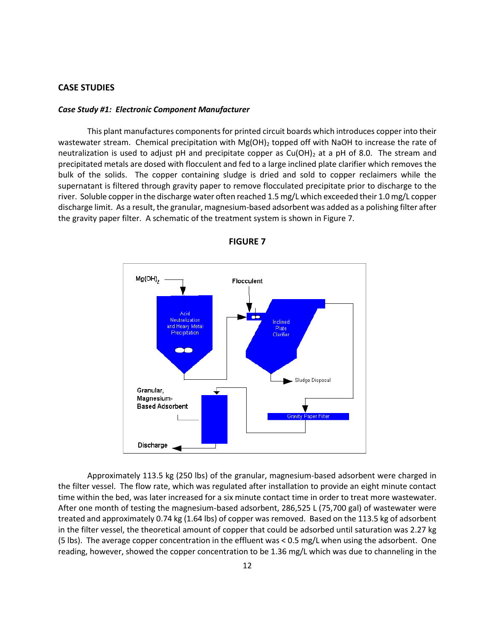#### **CASE STUDIES**

#### *Case Study #1: Electronic Component Manufacturer*

This plant manufactures components for printed circuit boards which introduces copper into their wastewater stream. Chemical precipitation with Mg(OH)<sub>2</sub> topped off with NaOH to increase the rate of neutralization is used to adjust pH and precipitate copper as  $Cu(OH)_2$  at a pH of 8.0. The stream and precipitated metals are dosed with flocculent and fed to a large inclined plate clarifier which removes the bulk of the solids. The copper containing sludge is dried and sold to copper reclaimers while the supernatant is filtered through gravity paper to remove flocculated precipitate prior to discharge to the river. Soluble copper in the discharge water often reached 1.5 mg/L which exceeded their 1.0 mg/L copper discharge limit. As a result, the granular, magnesium-based adsorbent was added as a polishing filter after the gravity paper filter. A schematic of the treatment system is shown in Figure 7.



**FIGURE 7**

Approximately 113.5 kg (250 lbs) of the granular, magnesium-based adsorbent were charged in the filter vessel. The flow rate, which was regulated after installation to provide an eight minute contact time within the bed, was later increased for a six minute contact time in order to treat more wastewater. After one month of testing the magnesium-based adsorbent, 286,525 L (75,700 gal) of wastewater were treated and approximately 0.74 kg (1.64 lbs) of copper was removed. Based on the 113.5 kg of adsorbent in the filter vessel, the theoretical amount of copper that could be adsorbed until saturation was 2.27 kg (5 lbs). The average copper concentration in the effluent was < 0.5 mg/L when using the adsorbent. One reading, however, showed the copper concentration to be 1.36 mg/L which was due to channeling in the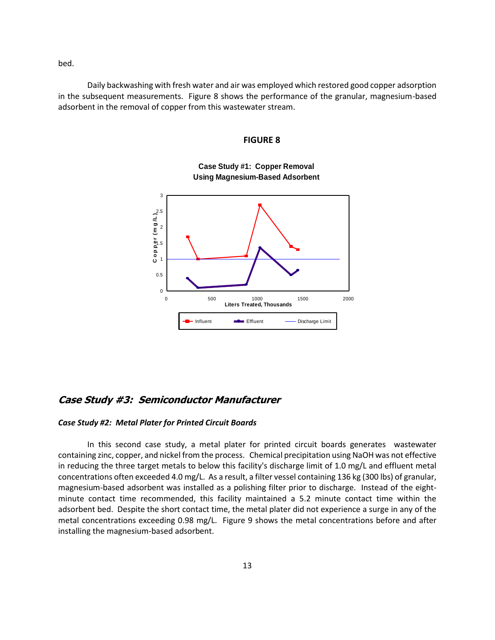bed.

Daily backwashing with fresh water and air was employed which restored good copper adsorption in the subsequent measurements. Figure 8 shows the performance of the granular, magnesium-based adsorbent in the removal of copper from this wastewater stream.

#### **FIGURE 8**



**Case Study #1: Copper Removal Using Magnesium-Based Adsorbent**

## **Case Study #3: Semiconductor Manufacturer**

#### *Case Study #2: Metal Plater for Printed Circuit Boards*

In this second case study, a metal plater for printed circuit boards generates wastewater containing zinc, copper, and nickel from the process. Chemical precipitation using NaOH was not effective in reducing the three target metals to below this facility's discharge limit of 1.0 mg/L and effluent metal concentrations often exceeded 4.0 mg/L. As a result, a filter vessel containing 136 kg (300 lbs) of granular, magnesium-based adsorbent was installed as a polishing filter prior to discharge. Instead of the eightminute contact time recommended, this facility maintained a 5.2 minute contact time within the adsorbent bed. Despite the short contact time, the metal plater did not experience a surge in any of the metal concentrations exceeding 0.98 mg/L. Figure 9 shows the metal concentrations before and after installing the magnesium-based adsorbent.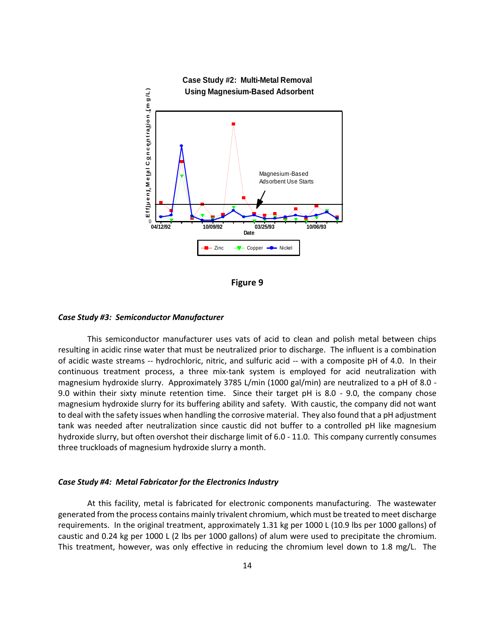

**Figure 9**

#### *Case Study #3: Semiconductor Manufacturer*

This semiconductor manufacturer uses vats of acid to clean and polish metal between chips resulting in acidic rinse water that must be neutralized prior to discharge. The influent is a combination of acidic waste streams -- hydrochloric, nitric, and sulfuric acid -- with a composite pH of 4.0. In their continuous treatment process, a three mix-tank system is employed for acid neutralization with magnesium hydroxide slurry. Approximately 3785 L/min (1000 gal/min) are neutralized to a pH of 8.0 - 9.0 within their sixty minute retention time. Since their target pH is 8.0 - 9.0, the company chose magnesium hydroxide slurry for its buffering ability and safety. With caustic, the company did not want to deal with the safety issues when handling the corrosive material. They also found that a pH adjustment tank was needed after neutralization since caustic did not buffer to a controlled pH like magnesium hydroxide slurry, but often overshot their discharge limit of 6.0 - 11.0. This company currently consumes three truckloads of magnesium hydroxide slurry a month.

#### *Case Study #4: Metal Fabricator for the Electronics Industry*

At this facility, metal is fabricated for electronic components manufacturing. The wastewater generated from the process contains mainly trivalent chromium, which must be treated to meet discharge requirements. In the original treatment, approximately 1.31 kg per 1000 L (10.9 lbs per 1000 gallons) of caustic and 0.24 kg per 1000 L (2 lbs per 1000 gallons) of alum were used to precipitate the chromium. This treatment, however, was only effective in reducing the chromium level down to 1.8 mg/L. The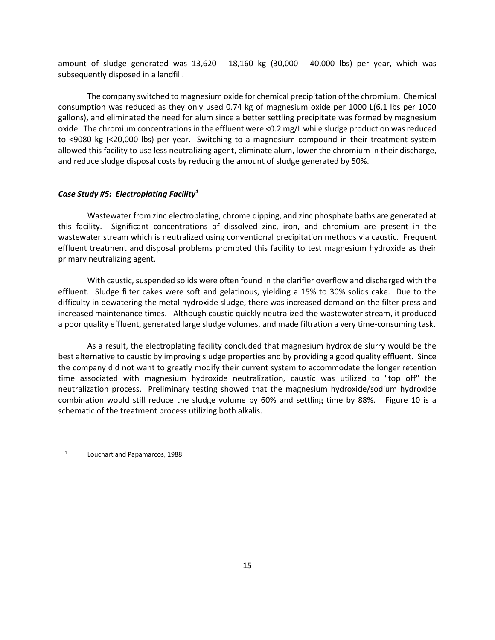amount of sludge generated was 13,620 - 18,160 kg (30,000 - 40,000 lbs) per year, which was subsequently disposed in a landfill.

The company switched to magnesium oxide for chemical precipitation of the chromium. Chemical consumption was reduced as they only used 0.74 kg of magnesium oxide per 1000 L(6.1 lbs per 1000 gallons), and eliminated the need for alum since a better settling precipitate was formed by magnesium oxide. The chromium concentrations in the effluent were <0.2 mg/L while sludge production was reduced to <9080 kg (<20,000 lbs) per year. Switching to a magnesium compound in their treatment system allowed this facility to use less neutralizing agent, eliminate alum, lower the chromium in their discharge, and reduce sludge disposal costs by reducing the amount of sludge generated by 50%.

#### *Case Study #5: Electroplating Facility<sup>1</sup>*

Wastewater from zinc electroplating, chrome dipping, and zinc phosphate baths are generated at this facility. Significant concentrations of dissolved zinc, iron, and chromium are present in the wastewater stream which is neutralized using conventional precipitation methods via caustic. Frequent effluent treatment and disposal problems prompted this facility to test magnesium hydroxide as their primary neutralizing agent.

With caustic, suspended solids were often found in the clarifier overflow and discharged with the effluent. Sludge filter cakes were soft and gelatinous, yielding a 15% to 30% solids cake. Due to the difficulty in dewatering the metal hydroxide sludge, there was increased demand on the filter press and increased maintenance times. Although caustic quickly neutralized the wastewater stream, it produced a poor quality effluent, generated large sludge volumes, and made filtration a very time-consuming task.

As a result, the electroplating facility concluded that magnesium hydroxide slurry would be the best alternative to caustic by improving sludge properties and by providing a good quality effluent. Since the company did not want to greatly modify their current system to accommodate the longer retention time associated with magnesium hydroxide neutralization, caustic was utilized to "top off" the neutralization process. Preliminary testing showed that the magnesium hydroxide/sodium hydroxide combination would still reduce the sludge volume by 60% and settling time by 88%. Figure 10 is a schematic of the treatment process utilizing both alkalis.

<sup>1</sup> Louchart and Papamarcos, 1988.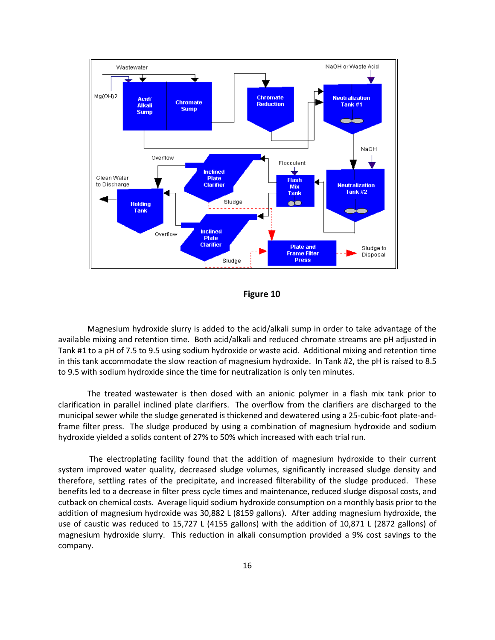

**Figure 10**

Magnesium hydroxide slurry is added to the acid/alkali sump in order to take advantage of the available mixing and retention time. Both acid/alkali and reduced chromate streams are pH adjusted in Tank #1 to a pH of 7.5 to 9.5 using sodium hydroxide or waste acid. Additional mixing and retention time in this tank accommodate the slow reaction of magnesium hydroxide. In Tank #2, the pH is raised to 8.5 to 9.5 with sodium hydroxide since the time for neutralization is only ten minutes.

The treated wastewater is then dosed with an anionic polymer in a flash mix tank prior to clarification in parallel inclined plate clarifiers. The overflow from the clarifiers are discharged to the municipal sewer while the sludge generated is thickened and dewatered using a 25-cubic-foot plate-andframe filter press. The sludge produced by using a combination of magnesium hydroxide and sodium hydroxide yielded a solids content of 27% to 50% which increased with each trial run.

The electroplating facility found that the addition of magnesium hydroxide to their current system improved water quality, decreased sludge volumes, significantly increased sludge density and therefore, settling rates of the precipitate, and increased filterability of the sludge produced. These benefits led to a decrease in filter press cycle times and maintenance, reduced sludge disposal costs, and cutback on chemical costs. Average liquid sodium hydroxide consumption on a monthly basis prior to the addition of magnesium hydroxide was 30,882 L (8159 gallons). After adding magnesium hydroxide, the use of caustic was reduced to 15,727 L (4155 gallons) with the addition of 10,871 L (2872 gallons) of magnesium hydroxide slurry. This reduction in alkali consumption provided a 9% cost savings to the company.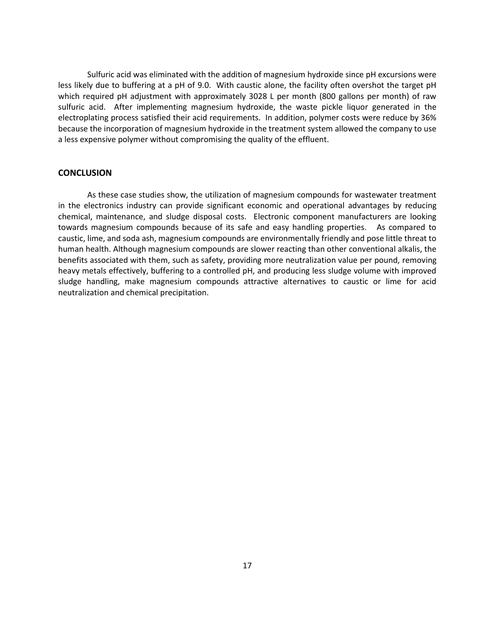Sulfuric acid was eliminated with the addition of magnesium hydroxide since pH excursions were less likely due to buffering at a pH of 9.0. With caustic alone, the facility often overshot the target pH which required pH adjustment with approximately 3028 L per month (800 gallons per month) of raw sulfuric acid. After implementing magnesium hydroxide, the waste pickle liquor generated in the electroplating process satisfied their acid requirements. In addition, polymer costs were reduce by 36% because the incorporation of magnesium hydroxide in the treatment system allowed the company to use a less expensive polymer without compromising the quality of the effluent.

### **CONCLUSION**

As these case studies show, the utilization of magnesium compounds for wastewater treatment in the electronics industry can provide significant economic and operational advantages by reducing chemical, maintenance, and sludge disposal costs. Electronic component manufacturers are looking towards magnesium compounds because of its safe and easy handling properties. As compared to caustic, lime, and soda ash, magnesium compounds are environmentally friendly and pose little threat to human health. Although magnesium compounds are slower reacting than other conventional alkalis, the benefits associated with them, such as safety, providing more neutralization value per pound, removing heavy metals effectively, buffering to a controlled pH, and producing less sludge volume with improved sludge handling, make magnesium compounds attractive alternatives to caustic or lime for acid neutralization and chemical precipitation.